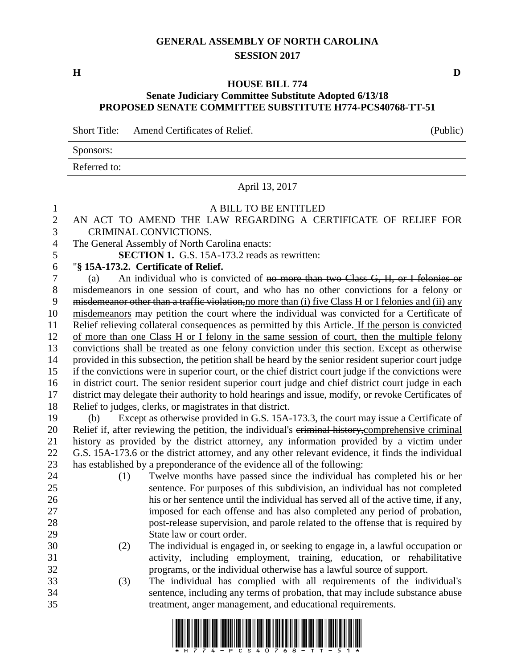# **GENERAL ASSEMBLY OF NORTH CAROLINA SESSION 2017**

**H D**

### **HOUSE BILL 774**

### **Senate Judiciary Committee Substitute Adopted 6/13/18 PROPOSED SENATE COMMITTEE SUBSTITUTE H774-PCS40768-TT-51**

Short Title: Amend Certificates of Relief. (Public)

|              |  |  | ___ |
|--------------|--|--|-----|
| Sponsors:    |  |  |     |
| Referred to: |  |  |     |

April 13, 2017

# A BILL TO BE ENTITLED

| $\mathbf{2}$   | AN ACT TO AMEND THE LAW REGARDING A CERTIFICATE OF RELIEF FOR                                        |  |  |  |  |  |  |  |
|----------------|------------------------------------------------------------------------------------------------------|--|--|--|--|--|--|--|
| 3              | CRIMINAL CONVICTIONS.                                                                                |  |  |  |  |  |  |  |
| $\overline{4}$ | The General Assembly of North Carolina enacts:                                                       |  |  |  |  |  |  |  |
| 5              | <b>SECTION 1.</b> G.S. 15A-173.2 reads as rewritten:                                                 |  |  |  |  |  |  |  |
| 6              | "§ 15A-173.2. Certificate of Relief.                                                                 |  |  |  |  |  |  |  |
| $\tau$         | An individual who is convicted of no more than two Class G, H, or I felonies or<br>(a)               |  |  |  |  |  |  |  |
| $8\,$          | misdemeanors in one session of court, and who has no other convictions for a felony or               |  |  |  |  |  |  |  |
| 9              | misdemeanor other than a traffic violation, no more than (i) five Class H or I felonies and (ii) any |  |  |  |  |  |  |  |
| 10             | misdemeanors may petition the court where the individual was convicted for a Certificate of          |  |  |  |  |  |  |  |
| 11             | Relief relieving collateral consequences as permitted by this Article. If the person is convicted    |  |  |  |  |  |  |  |
| 12             | of more than one Class H or I felony in the same session of court, then the multiple felony          |  |  |  |  |  |  |  |
| 13             | convictions shall be treated as one felony conviction under this section. Except as otherwise        |  |  |  |  |  |  |  |
| 14             | provided in this subsection, the petition shall be heard by the senior resident superior court judge |  |  |  |  |  |  |  |
| 15             | if the convictions were in superior court, or the chief district court judge if the convictions were |  |  |  |  |  |  |  |
| 16             | in district court. The senior resident superior court judge and chief district court judge in each   |  |  |  |  |  |  |  |
| 17             | district may delegate their authority to hold hearings and issue, modify, or revoke Certificates of  |  |  |  |  |  |  |  |
| 18             | Relief to judges, clerks, or magistrates in that district.                                           |  |  |  |  |  |  |  |
| 19             | Except as otherwise provided in G.S. 15A-173.3, the court may issue a Certificate of<br>(b)          |  |  |  |  |  |  |  |
| 20             | Relief if, after reviewing the petition, the individual's eriminal history, comprehensive criminal   |  |  |  |  |  |  |  |
| 21             | history as provided by the district attorney, any information provided by a victim under             |  |  |  |  |  |  |  |
| 22             | G.S. 15A-173.6 or the district attorney, and any other relevant evidence, it finds the individual    |  |  |  |  |  |  |  |
| 23             | has established by a preponderance of the evidence all of the following:                             |  |  |  |  |  |  |  |
| 24             | Twelve months have passed since the individual has completed his or her<br>(1)                       |  |  |  |  |  |  |  |
| 25             | sentence. For purposes of this subdivision, an individual has not completed                          |  |  |  |  |  |  |  |
| 26             | his or her sentence until the individual has served all of the active time, if any,                  |  |  |  |  |  |  |  |
| 27             | imposed for each offense and has also completed any period of probation,                             |  |  |  |  |  |  |  |
| 28             | post-release supervision, and parole related to the offense that is required by                      |  |  |  |  |  |  |  |
| 29             | State law or court order.                                                                            |  |  |  |  |  |  |  |
| 30             | The individual is engaged in, or seeking to engage in, a lawful occupation or<br>(2)                 |  |  |  |  |  |  |  |
| 31             | activity, including employment, training, education, or rehabilitative                               |  |  |  |  |  |  |  |
| 32             | programs, or the individual otherwise has a lawful source of support.                                |  |  |  |  |  |  |  |
| 33             | The individual has complied with all requirements of the individual's<br>(3)                         |  |  |  |  |  |  |  |
| 34             | sentence, including any terms of probation, that may include substance abuse                         |  |  |  |  |  |  |  |
| 35             | treatment, anger management, and educational requirements.                                           |  |  |  |  |  |  |  |

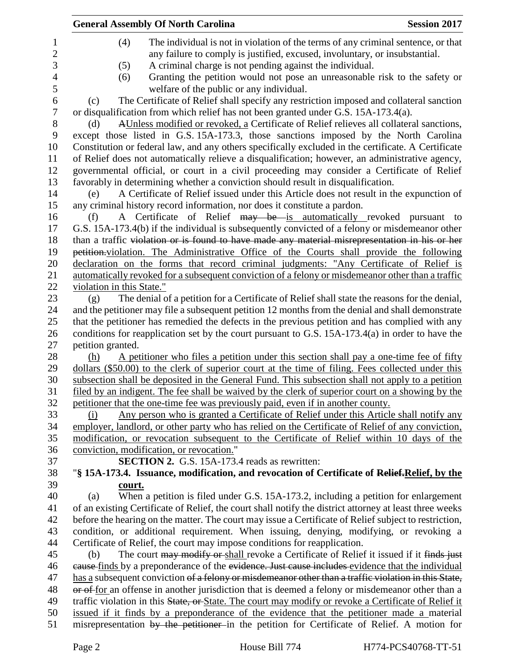|                           | <b>General Assembly Of North Carolina</b>                                                               | <b>Session 2017</b> |
|---------------------------|---------------------------------------------------------------------------------------------------------|---------------------|
| (4)                       | The individual is not in violation of the terms of any criminal sentence, or that                       |                     |
|                           | any failure to comply is justified, excused, involuntary, or insubstantial.                             |                     |
| (5)                       | A criminal charge is not pending against the individual.                                                |                     |
| (6)                       | Granting the petition would not pose an unreasonable risk to the safety or                              |                     |
|                           | welfare of the public or any individual.                                                                |                     |
| (c)                       | The Certificate of Relief shall specify any restriction imposed and collateral sanction                 |                     |
|                           | or disqualification from which relief has not been granted under G.S. 15A-173.4(a).                     |                     |
| (d)                       | AUnless modified or revoked, a Certificate of Relief relieves all collateral sanctions,                 |                     |
|                           | except those listed in G.S. 15A-173.3, those sanctions imposed by the North Carolina                    |                     |
|                           | Constitution or federal law, and any others specifically excluded in the certificate. A Certificate     |                     |
|                           | of Relief does not automatically relieve a disqualification; however, an administrative agency,         |                     |
|                           | governmental official, or court in a civil proceeding may consider a Certificate of Relief              |                     |
|                           | favorably in determining whether a conviction should result in disqualification.                        |                     |
| (e)                       | A Certificate of Relief issued under this Article does not result in the expunction of                  |                     |
|                           | any criminal history record information, nor does it constitute a pardon.                               |                     |
| (f)                       | A Certificate of Relief may be is automatically revoked pursuant to                                     |                     |
|                           | G.S. 15A-173.4(b) if the individual is subsequently convicted of a felony or misdemeanor other          |                     |
|                           | than a traffic violation or is found to have made any material misrepresentation in his or her          |                     |
|                           | petition violation. The Administrative Office of the Courts shall provide the following                 |                     |
|                           | declaration on the forms that record criminal judgments: "Any Certificate of Relief is                  |                     |
|                           | automatically revoked for a subsequent conviction of a felony or misdemeanor other than a traffic       |                     |
| violation in this State." |                                                                                                         |                     |
| (g)                       | The denial of a petition for a Certificate of Relief shall state the reasons for the denial,            |                     |
|                           | and the petitioner may file a subsequent petition 12 months from the denial and shall demonstrate       |                     |
|                           | that the petitioner has remedied the defects in the previous petition and has complied with any         |                     |
|                           | conditions for reapplication set by the court pursuant to G.S. 15A-173.4(a) in order to have the        |                     |
| petition granted.         |                                                                                                         |                     |
| (h)                       | A petitioner who files a petition under this section shall pay a one-time fee of fifty                  |                     |
|                           | dollars (\$50.00) to the clerk of superior court at the time of filing. Fees collected under this       |                     |
|                           | subsection shall be deposited in the General Fund. This subsection shall not apply to a petition        |                     |
|                           | filed by an indigent. The fee shall be waived by the clerk of superior court on a showing by the        |                     |
|                           | petitioner that the one-time fee was previously paid, even if in another county.                        |                     |
| (i)                       | Any person who is granted a Certificate of Relief under this Article shall notify any                   |                     |
|                           | employer, landlord, or other party who has relied on the Certificate of Relief of any conviction,       |                     |
|                           | modification, or revocation subsequent to the Certificate of Relief within 10 days of the               |                     |
|                           | conviction, modification, or revocation."                                                               |                     |
|                           | SECTION 2. G.S. 15A-173.4 reads as rewritten:                                                           |                     |
|                           | "§ 15A-173.4. Issuance, modification, and revocation of Certificate of Relief, Relief, by the           |                     |
| court.<br>(a)             | When a petition is filed under G.S. 15A-173.2, including a petition for enlargement                     |                     |
|                           | of an existing Certificate of Relief, the court shall notify the district attorney at least three weeks |                     |
|                           | before the hearing on the matter. The court may issue a Certificate of Relief subject to restriction,   |                     |
|                           | condition, or additional requirement. When issuing, denying, modifying, or revoking a                   |                     |
|                           | Certificate of Relief, the court may impose conditions for reapplication.                               |                     |
| (b)                       | The court may modify or shall revoke a Certificate of Relief it issued if it finds just                 |                     |
|                           | eause finds by a preponderance of the evidence. Just cause includes evidence that the individual        |                     |
|                           | has a subsequent conviction of a felony or misdemeanor other than a traffic violation in this State,    |                     |
|                           | or of for an offense in another jurisdiction that is deemed a felony or misdemeanor other than a        |                     |
|                           | traffic violation in this State, or State. The court may modify or revoke a Certificate of Relief it    |                     |
|                           | issued if it finds by a preponderance of the evidence that the petitioner made a material               |                     |
|                           | misrepresentation by the petitioner in the petition for Certificate of Relief. A motion for             |                     |
|                           |                                                                                                         |                     |